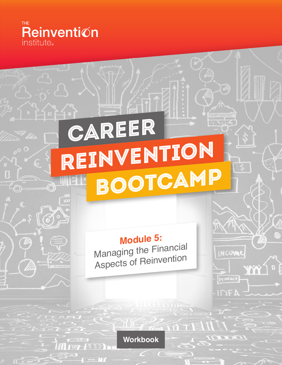

G

# CAREER REINVENTION Bootcamp

**Module 5:** Managing the Financial Aspects of Reinvention

INCOME

product

IDE

Ϋ́Ň

**Workbook**

 $-1176$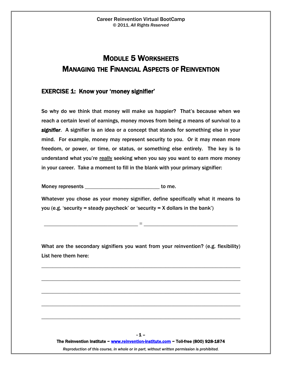# MODULE 5 WORKSHEETS MANAGING THE FINANCIAL ASPECTS OF REINVENTION

### EXERCISE 1: Know your 'money signifier'

So why do we think that money will make us happier? That's because when we reach a certain level of earnings, money moves from being a means of survival to a *signifier*. A signifier is an idea or a concept that stands for something else in your mind. For example, money may represent security to you. Or it may mean more freedom, or power, or time, or status, or something else entirely. The key is to understand what you're really seeking when you say you want to earn more money in your career. Take a moment to fill in the blank with your primary signifier:

Money represents \_\_\_\_\_\_\_\_\_\_\_\_\_\_\_\_\_\_\_\_\_\_\_\_\_\_\_ to me.

Whatever you chose as your money signifier, define specifically what it means to you (e.g. 'security = steady paycheck' or 'security =  $X$  dollars in the bank')

 $\mathcal{L}_\text{max} = \mathcal{L}_\text{max} = \mathcal{L}_\text{max}$ 

What are the secondary signifiers you want from your reinvention? (e.g. flexibility) List here them here:

\_\_\_\_\_\_\_\_\_\_\_\_\_\_\_\_\_\_\_\_\_\_\_\_\_\_\_\_\_\_\_\_\_\_\_\_\_\_\_\_\_\_\_\_\_\_\_\_\_\_\_\_\_\_\_\_\_\_\_\_\_\_\_\_\_\_\_\_\_\_\_\_

\_\_\_\_\_\_\_\_\_\_\_\_\_\_\_\_\_\_\_\_\_\_\_\_\_\_\_\_\_\_\_\_\_\_\_\_\_\_\_\_\_\_\_\_\_\_\_\_\_\_\_\_\_\_\_\_\_\_\_\_\_\_\_\_\_\_\_\_\_\_\_\_

\_\_\_\_\_\_\_\_\_\_\_\_\_\_\_\_\_\_\_\_\_\_\_\_\_\_\_\_\_\_\_\_\_\_\_\_\_\_\_\_\_\_\_\_\_\_\_\_\_\_\_\_\_\_\_\_\_\_\_\_\_\_\_\_\_\_\_\_\_\_\_\_

\_\_\_\_\_\_\_\_\_\_\_\_\_\_\_\_\_\_\_\_\_\_\_\_\_\_\_\_\_\_\_\_\_\_\_\_\_\_\_\_\_\_\_\_\_\_\_\_\_\_\_\_\_\_\_\_\_\_\_\_\_\_\_\_\_\_\_\_\_\_\_\_

\_\_\_\_\_\_\_\_\_\_\_\_\_\_\_\_\_\_\_\_\_\_\_\_\_\_\_\_\_\_\_\_\_\_\_\_\_\_\_\_\_\_\_\_\_\_\_\_\_\_\_\_\_\_\_\_\_\_\_\_\_\_\_\_\_\_\_\_\_\_\_\_

The Reinvention Institute ~ www.reinvention-institute.com ~ Toll-free (800) 928-1874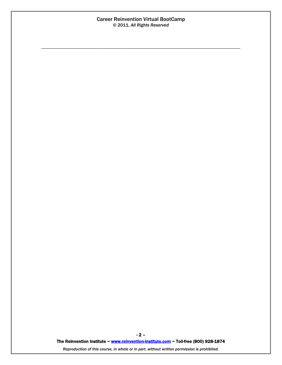#### Career Reinvention Virtual BootCamp © 2011, *All Rights Reserved*

\_\_\_\_\_\_\_\_\_\_\_\_\_\_\_\_\_\_\_\_\_\_\_\_\_\_\_\_\_\_\_\_\_\_\_\_\_\_\_\_\_\_\_\_\_\_\_\_\_\_\_\_\_\_\_\_\_\_\_\_\_\_\_\_\_\_\_\_\_\_\_\_

The Reinvention Institute ~ www.reinvention-institute.com ~ Toll-free (800) 928-1874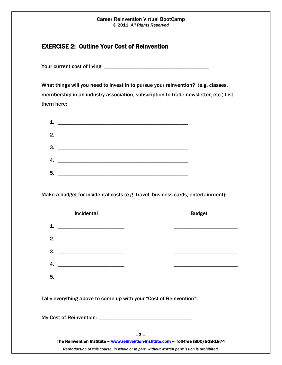#### Career Reinvention Virtual BootCamp © 2011, *All Rights Reserved*

## EXERCISE 2: Outline Your Cost of Reinvention

Your current cost of living: \_\_\_\_\_\_\_\_\_\_\_\_\_\_\_\_\_\_\_\_\_\_\_\_\_\_\_\_\_\_\_\_\_\_\_\_\_\_

What things will you need to invest in to pursue your reinvention? (e.g. classes, membership in an industry association, subscription to trade newsletter, etc.) List them here:

| 1. $\overline{\phantom{a}}$                                                                                                                                                                                                                                                                                            |  |
|------------------------------------------------------------------------------------------------------------------------------------------------------------------------------------------------------------------------------------------------------------------------------------------------------------------------|--|
| 2. $\frac{1}{2}$ $\frac{1}{2}$ $\frac{1}{2}$ $\frac{1}{2}$ $\frac{1}{2}$ $\frac{1}{2}$ $\frac{1}{2}$ $\frac{1}{2}$ $\frac{1}{2}$ $\frac{1}{2}$ $\frac{1}{2}$ $\frac{1}{2}$ $\frac{1}{2}$ $\frac{1}{2}$ $\frac{1}{2}$ $\frac{1}{2}$ $\frac{1}{2}$ $\frac{1}{2}$ $\frac{1}{2}$ $\frac{1}{2}$ $\frac{1}{2}$ $\frac{1}{2}$ |  |
|                                                                                                                                                                                                                                                                                                                        |  |
| 4. $\qquad \qquad$                                                                                                                                                                                                                                                                                                     |  |
| 5.                                                                                                                                                                                                                                                                                                                     |  |

Make a budget for incidental costs (e.g. travel, business cards, entertainment):

| Incidental                                                                                                                                                                                                                                                                                                                                                                                                                                                                                                                                                                                                   |       | <b>Budget</b> |
|--------------------------------------------------------------------------------------------------------------------------------------------------------------------------------------------------------------------------------------------------------------------------------------------------------------------------------------------------------------------------------------------------------------------------------------------------------------------------------------------------------------------------------------------------------------------------------------------------------------|-------|---------------|
| 1.<br><u> 1989 - Johann Barn, mars ann an t-Amhainn an t-Amhainn an t-Amhainn an t-Amhainn an t-Amhainn an t-Amhainn an </u>                                                                                                                                                                                                                                                                                                                                                                                                                                                                                 |       |               |
|                                                                                                                                                                                                                                                                                                                                                                                                                                                                                                                                                                                                              |       |               |
| $\begin{array}{c}\n3. \begin{array}{c}\n\end{array}\n\end{array}$                                                                                                                                                                                                                                                                                                                                                                                                                                                                                                                                            |       |               |
| 4.<br><u> 1980 - Johann Barn, mars and de British and de British and de British and de British and de British and de Br</u>                                                                                                                                                                                                                                                                                                                                                                                                                                                                                  |       |               |
| $\begin{tabular}{c} 5. & \underline{\hspace{1cm}} & \underline{\hspace{1cm}} & \underline{\hspace{1cm}} & \underline{\hspace{1cm}} & \underline{\hspace{1cm}} & \underline{\hspace{1cm}} & \underline{\hspace{1cm}} & \underline{\hspace{1cm}} & \underline{\hspace{1cm}} & \underline{\hspace{1cm}} & \underline{\hspace{1cm}} & \underline{\hspace{1cm}} & \underline{\hspace{1cm}} & \underline{\hspace{1cm}} & \underline{\hspace{1cm}} & \underline{\hspace{1cm}} & \underline{\hspace{1cm}} & \underline{\hspace{1cm}} & \underline{\hspace{1cm}} & \underline{\hspace{1cm}} & \underline{\hspace{1cm$ |       |               |
| Tally everything above to come up with your "Cost of Reinvention":                                                                                                                                                                                                                                                                                                                                                                                                                                                                                                                                           |       |               |
|                                                                                                                                                                                                                                                                                                                                                                                                                                                                                                                                                                                                              |       |               |
|                                                                                                                                                                                                                                                                                                                                                                                                                                                                                                                                                                                                              | $-3-$ |               |
| The Reinvention Institute ~ www.reinvention-institute.com ~ Toll-free (800) 928-1874                                                                                                                                                                                                                                                                                                                                                                                                                                                                                                                         |       |               |